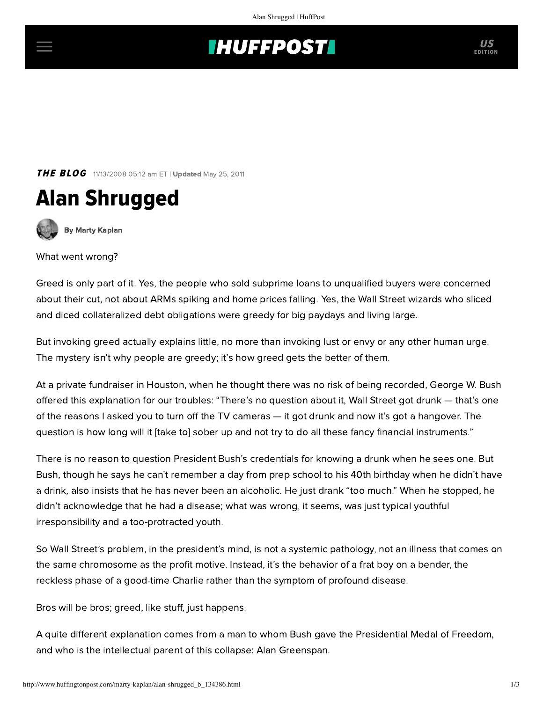## **INUFFPOSTI** US

**THE BLOG** 11/13/2008 05:12 am ET | Updated May 25, 2011





[By Marty Kaplan](http://www.huffingtonpost.com/author/marty-kaplan)

What went wrong?

Greed is only part of it. Yes, the people who sold subprime loans to unqualified buyers were concerned about their cut, not about ARMs spiking and home prices falling. Yes, the Wall Street wizards who sliced and diced collateralized debt obligations were greedy for big paydays and living large.

But invoking greed actually explains little, no more than invoking lust or envy or any other human urge. The mystery isn't why people are greedy; it's how greed gets the better of them.

At a private fundraiser in Houston, when he thought there was no risk of being recorded, George W. Bush offered this explanation for our troubles: "There's no question about it, Wall Street got drunk — that's one of the reasons I asked you to turn off the TV cameras — it got drunk and now it's got a hangover. The question is how long will it [take to] sober up and not try to do all these fancy financial instruments."

There is no reason to question President Bush's credentials for knowing a drunk when he sees one. But Bush, though he says he can't remember a day from prep school to his 40th birthday when he didn't have a drink, also insists that he has never been an alcoholic. He just drank "too much." When he stopped, he didn't acknowledge that he had a disease; what was wrong, it seems, was just typical youthful irresponsibility and a too-protracted youth.

So Wall Street's problem, in the president's mind, is not a systemic pathology, not an illness that comes on the same chromosome as the profit motive. Instead, it's the behavior of a frat boy on a bender, the reckless phase of a good-time Charlie rather than the symptom of profound disease.

Bros will be bros; greed, like stuff, just happens.

A quite different explanation comes from a man to whom Bush gave the Presidential Medal of Freedom, and who is the intellectual parent of this collapse: [Alan Greenspan.](http://www.nytimes.com/2008/10/09/business/economy/09greenspan.html)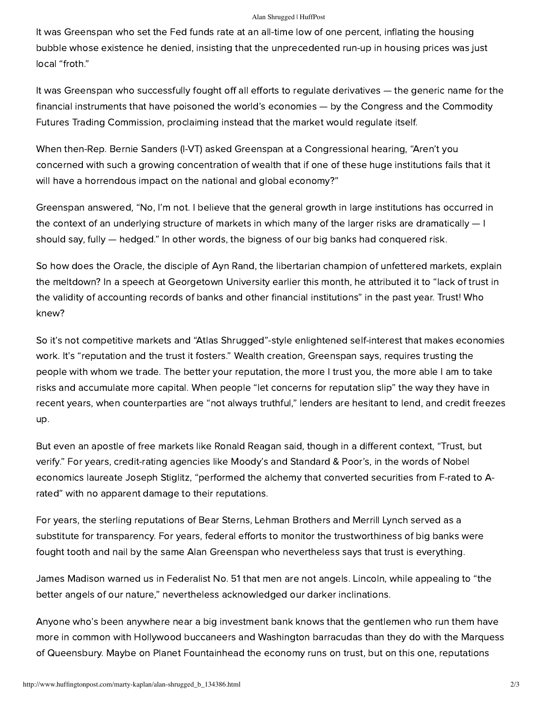## Alan Shrugged | HuffPost

It was Greenspan who set the Fed funds rate at an all-time low of one percent, inflating the housing bubble whose existence he denied, insisting that the unprecedented run-up in housing prices was just local "froth."

It was Greenspan who successfully fought off all efforts to regulate derivatives — the generic name for the financial instruments that have poisoned the world's economies — by the Congress and the Commodity Futures Trading Commission, proclaiming instead that the market would regulate itself.

When then-Rep. Bernie Sanders (I-VT) asked Greenspan at a Congressional hearing, "Aren't you concerned with such a growing concentration of wealth that if one of these huge institutions fails that it will have a horrendous impact on the national and global economy?"

Greenspan answered, "No, I'm not. I believe that the general growth in large institutions has occurred in the context of an underlying structure of markets in which many of the larger risks are dramatically — I should say, fully — hedged." In other words, the bigness of our big banks had conquered risk.

So how does the Oracle, the disciple of Ayn Rand, the libertarian champion of unfettered markets, explain the meltdown? Ina [speech at Georgetown](http://clipsandcomment.com/wp-content/uploads/2008/10/greenspan-georgetown-october-2.pdf) University earlier this month, he attributed it to "lack of trust in the validity of accounting records of banks and other financial institutions" in the past year. Trust! Who knew?

So it's not competitive markets and "Atlas Shrugged"-style enlightened self-interest that makes economies work. It's "reputation and the trust it fosters." Wealth creation, Greenspan says, requires trusting the people with whom we trade. The better your reputation, the more I trust you, the more able I am to take risks and accumulate more capital. When people "let concerns for reputation slip" the way they have in recent years, when counterparties are "not always truthful," lenders are hesitant to lend, and credit freezes up.

But even an apostle of free markets like Ronald Reagan said, though in a different context, "Trust, but verify." For years, credit-rating agencies like [Moody's and Standard & Poor's,](http://www.bloomberg.com/apps/news?pid=20601109&sid=ax3vfya_Vtdo&refer=home) in the [words](http://www.bloomberg.com/apps/news?pid=20601109&sid=ah839IWTLP9s) of Nobel economics laureate Joseph Stiglitz, "performed the alchemy that converted securities from F-rated to Arated" with no apparent damage to their reputations.

For years, the sterling reputations of Bear Sterns, Lehman Brothers and Merrill Lynch served as a substitute for transparency. For years, federal efforts to monitor the trustworthiness of big banks were fought tooth and nail by the same Alan Greenspan who nevertheless says that trust is everything.

James Madison warned us in Federalist No. 51 that men are not angels. Lincoln, while appealing to "the better angels of our nature," nevertheless acknowledged our darker inclinations.

Anyone who's been anywhere near a big investment bank knows that the gentlemen who run them have more in common with Hollywood buccaneers and Washington barracudas than they do with the Marquess of Queensbury. Maybe on Planet Fountainhead the economy runs on trust, but on this one, reputations